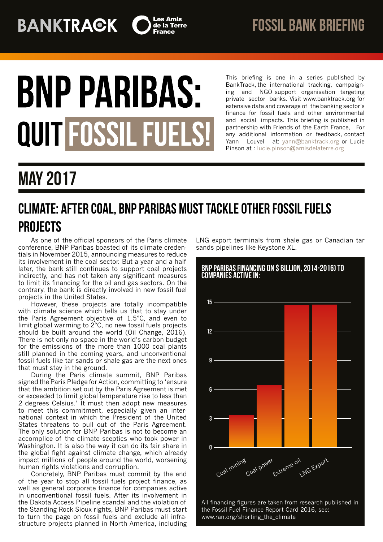

# **BNP PARIBAS:** QUIT FOSSIL FUELS

This briefing is one in a series published by BankTrack, the international tracking, campaigning and NGO support organisation targeting private sector banks. Visit www.banktrack.org for extensive data and coverage of the banking sector's finance for fossil fuels and other environmental and social impacts. This briefing is published in partnership with Friends of the Earth France, For any additional information or feedback, contact Yann Louvel at: [yann@banktrack.org](mailto:yann@banktrack.org) or Lucie Pinson at : [lucie.pinson@amisdelaterre.org](mailto:lucie.pinson@amisdelaterre.org)

## may 2017

### Climate: after coal, BNP Paribas must tackle other fossil fuels **PROJECTS**

As one of the official sponsors of the Paris climate conference, BNP Paribas boasted of its climate credentials in November 2015, announcing measures to reduce its involvement in the coal sector. But a year and a half later, the bank still continues to support coal projects indirectly, and has not taken any significant measures to limit its financing for the oil and gas sectors. On the contrary, the bank is directly involved in new fossil fuel projects in the United States.

However, these projects are totally incompatible with climate science which tells us that to stay under the Paris Agreement objective of 1.5°C, and even to limit global warming to 2°C, no new fossil fuels projects should be built around the world (Oil Change, 2016). There is not only no space in the world's carbon budget for the emissions of the more than 1000 coal plants still planned in the coming years, and unconventional fossil fuels like tar sands or shale gas are the next ones that must stay in the ground.

During the Paris climate summit, BNP Paribas signed the Paris Pledge for Action, committing to 'ensure that the ambition set out by the Paris Agreement is met or exceeded to limit global temperature rise to less than 2 degrees Celsius.' It must then adopt new measures to meet this commitment, especially given an international context in which the President of the United States threatens to pull out of the Paris Agreement. The only solution for BNP Paribas is not to become an accomplice of the climate sceptics who took power in Washington. It is also the way it can do its fair share in the global fight against climate change, which already impact millions of people around the world, worsening human rights violations and corruption.

Concretely, BNP Paribas must commit by the end of the year to stop all fossil fuels project finance, as well as general corporate finance for companies active in unconventional fossil fuels. After its involvement in the Dakota Access Pipeline scandal and the violation of the Standing Rock Sioux rights, BNP Paribas must start to turn the page on fossil fuels and exclude all infrastructure projects planned in North America, including LNG export terminals from shale gas or Canadian tar sands pipelines like Keystone XL.



All financing figures are taken from research published in the Fossil Fuel Finance Report Card 2016, see: www.ran.org/shorting\_the\_climate